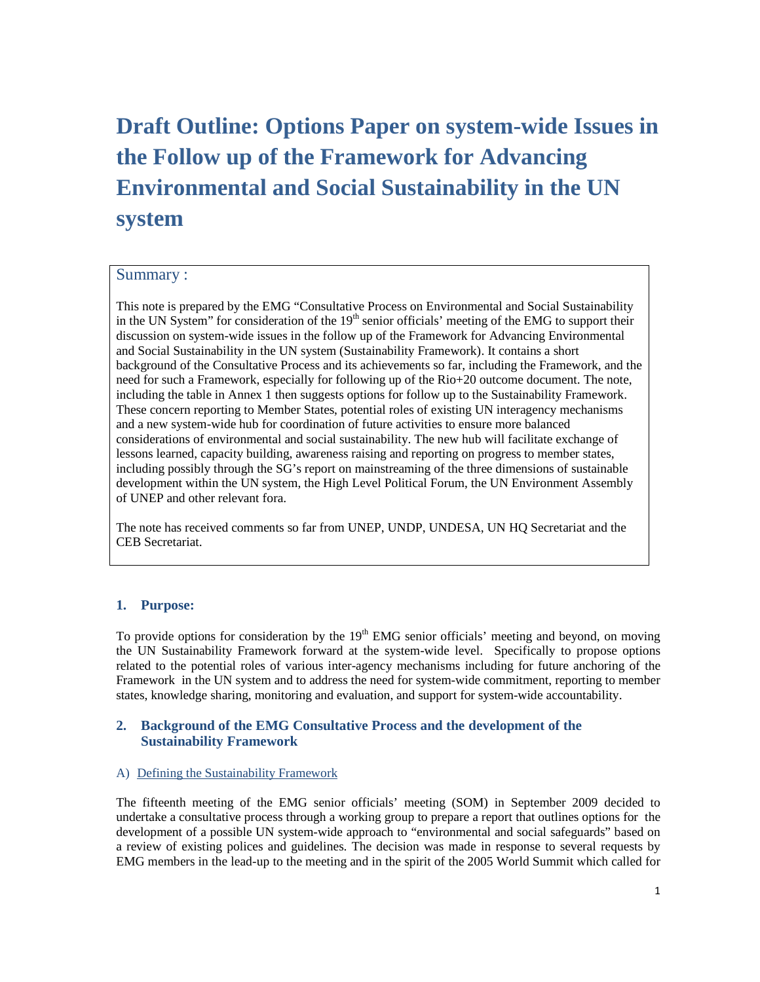# **Draft Outline: Options Paper on system-wide Issues in the Follow up of the Framework for Advancing Environmental and Social Sustainability in the UN system**

#### Summary :

This note is prepared by the EMG "Consultative Process on Environmental and Social Sustainability in the UN System" for consideration of the  $19<sup>th</sup>$  senior officials' meeting of the EMG to support their discussion on system-wide issues in the follow up of the Framework for Advancing Environmental and Social Sustainability in the UN system (Sustainability Framework). It contains a short background of the Consultative Process and its achievements so far, including the Framework, and the need for such a Framework, especially for following up of the Rio+20 outcome document. The note, including the table in Annex 1 then suggests options for follow up to the Sustainability Framework. These concern reporting to Member States, potential roles of existing UN interagency mechanisms and a new system-wide hub for coordination of future activities to ensure more balanced considerations of environmental and social sustainability. The new hub will facilitate exchange of lessons learned, capacity building, awareness raising and reporting on progress to member states, including possibly through the SG's report on mainstreaming of the three dimensions of sustainable development within the UN system, the High Level Political Forum, the UN Environment Assembly of UNEP and other relevant fora.

The note has received comments so far from UNEP, UNDP, UNDESA, UN HQ Secretariat and the CEB Secretariat.

#### **1. Purpose:**

To provide options for consideration by the  $19<sup>th</sup>$  EMG senior officials' meeting and beyond, on moving the UN Sustainability Framework forward at the system-wide level. Specifically to propose options related to the potential roles of various inter-agency mechanisms including for future anchoring of the Framework in the UN system and to address the need for system-wide commitment, reporting to member states, knowledge sharing, monitoring and evaluation, and support for system-wide accountability.

#### **2. Background of the EMG Consultative Process and the development of the Sustainability Framework**

#### A) Defining the Sustainability Framework

The fifteenth meeting of the EMG senior officials' meeting (SOM) in September 2009 decided to undertake a consultative process through a working group to prepare a report that outlines options for the development of a possible UN system-wide approach to "environmental and social safeguards" based on a review of existing polices and guidelines. The decision was made in response to several requests by EMG members in the lead-up to the meeting and in the spirit of the 2005 World Summit which called for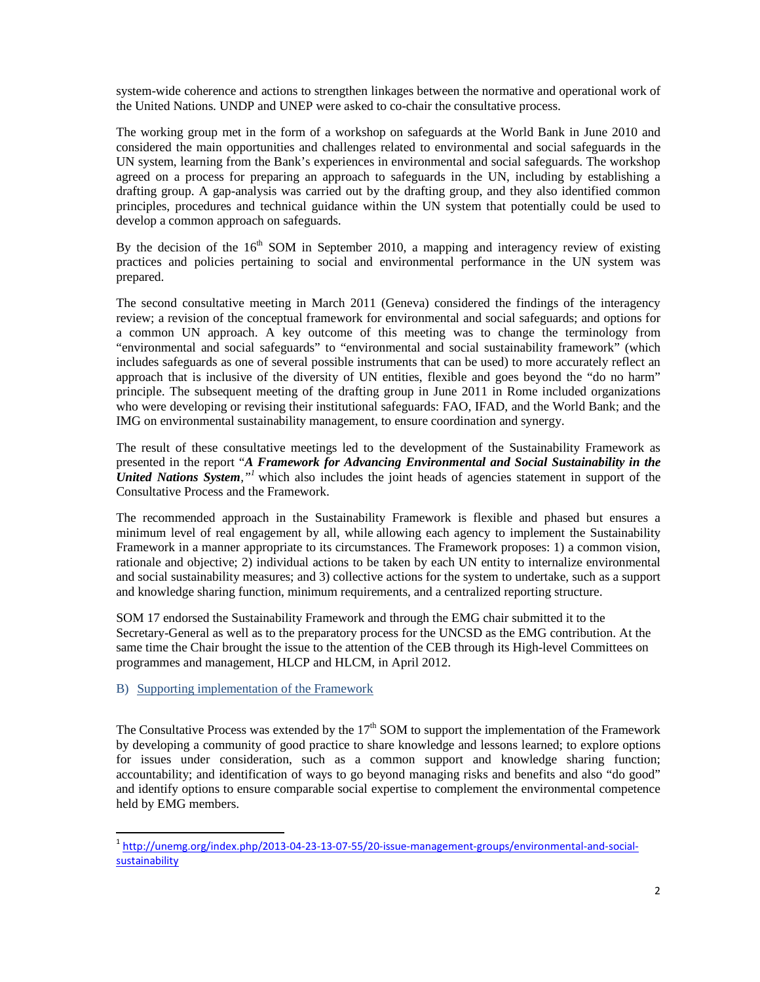system-wide coherence and actions to strengthen linkages between the normative and operational work of the United Nations. UNDP and UNEP were asked to co-chair the consultative process.

The working group met in the form of a workshop on safeguards at the World Bank in June 2010 and considered the main opportunities and challenges related to environmental and social safeguards in the UN system, learning from the Bank's experiences in environmental and social safeguards. The workshop agreed on a process for preparing an approach to safeguards in the UN, including by establishing a drafting group. A gap-analysis was carried out by the drafting group, and they also identified common principles, procedures and technical guidance within the UN system that potentially could be used to develop a common approach on safeguards.

By the decision of the  $16<sup>th</sup>$  SOM in September 2010, a mapping and interagency review of existing practices and policies pertaining to social and environmental performance in the UN system was prepared.

The second consultative meeting in March 2011 (Geneva) considered the findings of the interagency review; a revision of the conceptual framework for environmental and social safeguards; and options for a common UN approach. A key outcome of this meeting was to change the terminology from "environmental and social safeguards" to "environmental and social sustainability framework" (which includes safeguards as one of several possible instruments that can be used) to more accurately reflect an approach that is inclusive of the diversity of UN entities, flexible and goes beyond the "do no harm" principle. The subsequent meeting of the drafting group in June 2011 in Rome included organizations who were developing or revising their institutional safeguards: FAO, IFAD, and the World Bank; and the IMG on environmental sustainability management, to ensure coordination and synergy.

The result of these consultative meetings led to the development of the Sustainability Framework as presented in the report "*A Framework for Advancing Environmental and Social Sustainability in the United Nations System,"<sup>1</sup>* which also includes the joint heads of agencies statement in support of the Consultative Process and the Framework.

The recommended approach in the Sustainability Framework is flexible and phased but ensures a minimum level of real engagement by all, while allowing each agency to implement the Sustainability Framework in a manner appropriate to its circumstances. The Framework proposes: 1) a common vision, rationale and objective; 2) individual actions to be taken by each UN entity to internalize environmental and social sustainability measures; and 3) collective actions for the system to undertake, such as a support and knowledge sharing function, minimum requirements, and a centralized reporting structure.

SOM 17 endorsed the Sustainability Framework and through the EMG chair submitted it to the Secretary-General as well as to the preparatory process for the UNCSD as the EMG contribution. At the same time the Chair brought the issue to the attention of the CEB through its High-level Committees on programmes and management, HLCP and HLCM, in April 2012.

B) Supporting implementation of the Framework

-

The Consultative Process was extended by the 17<sup>th</sup> SOM to support the implementation of the Framework by developing a community of good practice to share knowledge and lessons learned; to explore options for issues under consideration, such as a common support and knowledge sharing function; accountability; and identification of ways to go beyond managing risks and benefits and also "do good" and identify options to ensure comparable social expertise to complement the environmental competence held by EMG members.

<sup>&</sup>lt;sup>1</sup> http://unemg.org/index.php/2013-04-23-13-07-55/20-issue-management-groups/environmental-and-socialsustainability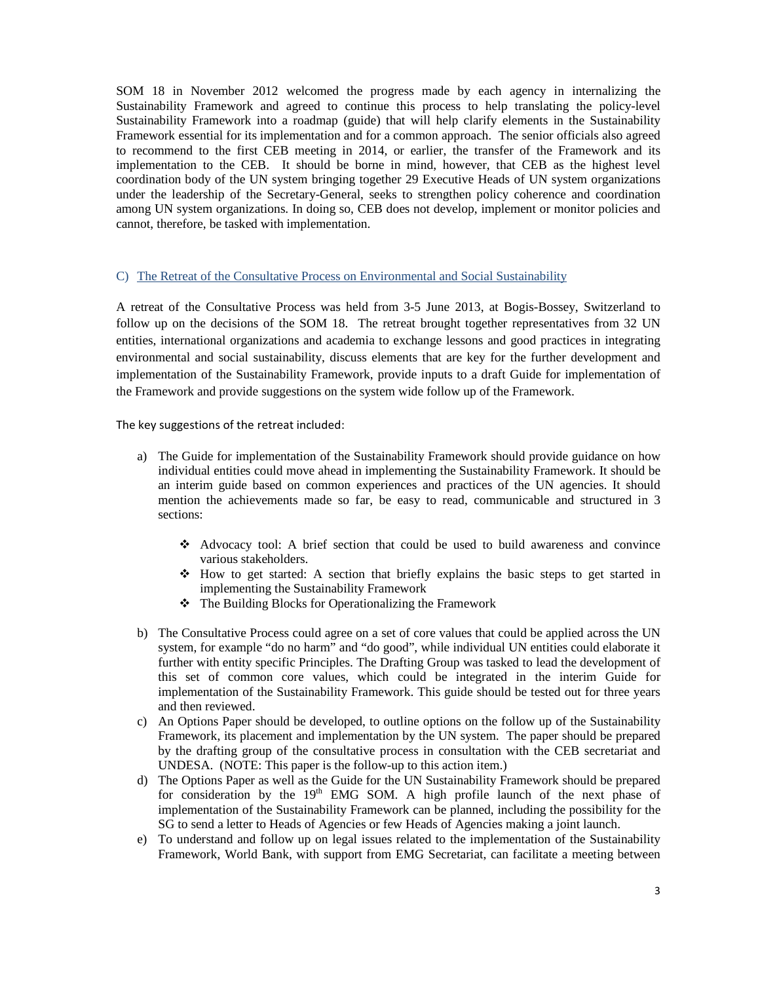SOM 18 in November 2012 welcomed the progress made by each agency in internalizing the Sustainability Framework and agreed to continue this process to help translating the policy-level Sustainability Framework into a roadmap (guide) that will help clarify elements in the Sustainability Framework essential for its implementation and for a common approach. The senior officials also agreed to recommend to the first CEB meeting in 2014, or earlier, the transfer of the Framework and its implementation to the CEB. It should be borne in mind, however, that CEB as the highest level coordination body of the UN system bringing together 29 Executive Heads of UN system organizations under the leadership of the Secretary-General, seeks to strengthen policy coherence and coordination among UN system organizations. In doing so, CEB does not develop, implement or monitor policies and cannot, therefore, be tasked with implementation.

#### C) The Retreat of the Consultative Process on Environmental and Social Sustainability

A retreat of the Consultative Process was held from 3-5 June 2013, at Bogis-Bossey, Switzerland to follow up on the decisions of the SOM 18. The retreat brought together representatives from 32 UN entities, international organizations and academia to exchange lessons and good practices in integrating environmental and social sustainability, discuss elements that are key for the further development and implementation of the Sustainability Framework, provide inputs to a draft Guide for implementation of the Framework and provide suggestions on the system wide follow up of the Framework.

The key suggestions of the retreat included:

- a) The Guide for implementation of the Sustainability Framework should provide guidance on how individual entities could move ahead in implementing the Sustainability Framework. It should be an interim guide based on common experiences and practices of the UN agencies. It should mention the achievements made so far, be easy to read, communicable and structured in 3 sections:
	- Advocacy tool: A brief section that could be used to build awareness and convince various stakeholders.
	- $\div$  How to get started: A section that briefly explains the basic steps to get started in implementing the Sustainability Framework
	- The Building Blocks for Operationalizing the Framework
- b) The Consultative Process could agree on a set of core values that could be applied across the UN system, for example "do no harm" and "do good", while individual UN entities could elaborate it further with entity specific Principles. The Drafting Group was tasked to lead the development of this set of common core values, which could be integrated in the interim Guide for implementation of the Sustainability Framework. This guide should be tested out for three years and then reviewed.
- c) An Options Paper should be developed, to outline options on the follow up of the Sustainability Framework, its placement and implementation by the UN system. The paper should be prepared by the drafting group of the consultative process in consultation with the CEB secretariat and UNDESA. (NOTE: This paper is the follow-up to this action item.)
- d) The Options Paper as well as the Guide for the UN Sustainability Framework should be prepared for consideration by the  $19<sup>th</sup>$  EMG SOM. A high profile launch of the next phase of implementation of the Sustainability Framework can be planned, including the possibility for the SG to send a letter to Heads of Agencies or few Heads of Agencies making a joint launch.
- e) To understand and follow up on legal issues related to the implementation of the Sustainability Framework, World Bank, with support from EMG Secretariat, can facilitate a meeting between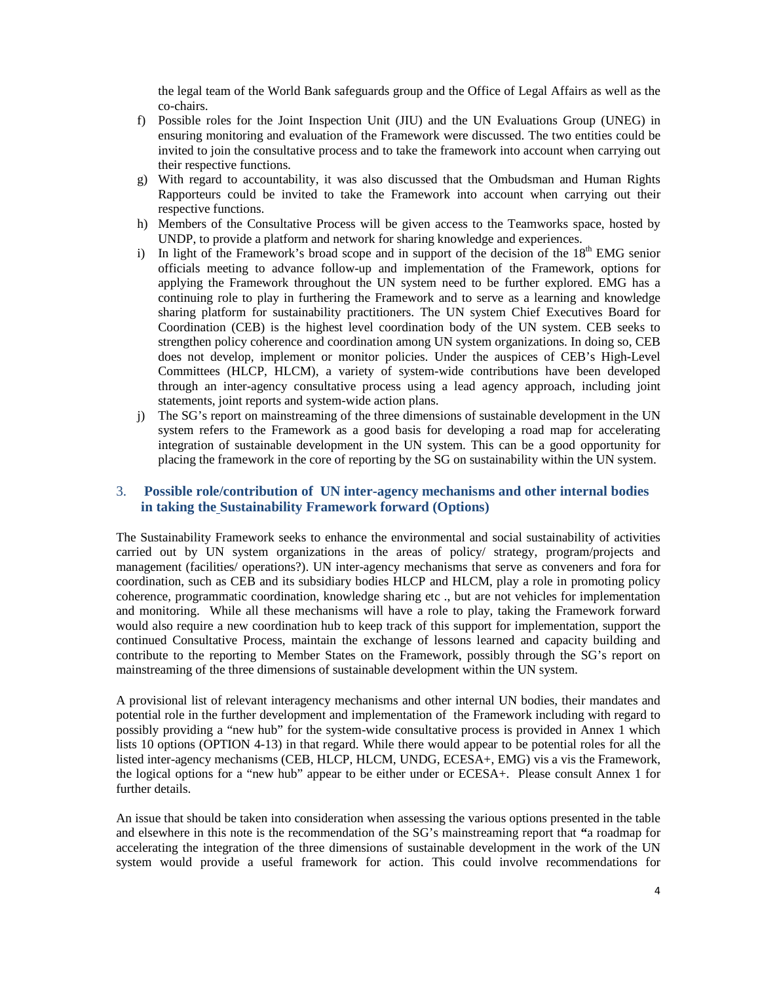the legal team of the World Bank safeguards group and the Office of Legal Affairs as well as the co-chairs.

- f) Possible roles for the Joint Inspection Unit (JIU) and the UN Evaluations Group (UNEG) in ensuring monitoring and evaluation of the Framework were discussed. The two entities could be invited to join the consultative process and to take the framework into account when carrying out their respective functions.
- g) With regard to accountability, it was also discussed that the Ombudsman and Human Rights Rapporteurs could be invited to take the Framework into account when carrying out their respective functions.
- h) Members of the Consultative Process will be given access to the Teamworks space, hosted by UNDP, to provide a platform and network for sharing knowledge and experiences.
- i) In light of the Framework's broad scope and in support of the decision of the  $18<sup>th</sup>$  EMG senior officials meeting to advance follow-up and implementation of the Framework, options for applying the Framework throughout the UN system need to be further explored. EMG has a continuing role to play in furthering the Framework and to serve as a learning and knowledge sharing platform for sustainability practitioners. The UN system Chief Executives Board for Coordination (CEB) is the highest level coordination body of the UN system. CEB seeks to strengthen policy coherence and coordination among UN system organizations. In doing so, CEB does not develop, implement or monitor policies. Under the auspices of CEB's High-Level Committees (HLCP, HLCM), a variety of system-wide contributions have been developed through an inter-agency consultative process using a lead agency approach, including joint statements, joint reports and system-wide action plans.
- j) The SG's report on mainstreaming of the three dimensions of sustainable development in the UN system refers to the Framework as a good basis for developing a road map for accelerating integration of sustainable development in the UN system. This can be a good opportunity for placing the framework in the core of reporting by the SG on sustainability within the UN system.

#### 3. **Possible role/contribution of UN inter-agency mechanisms and other internal bodies in taking the Sustainability Framework forward (Options)**

The Sustainability Framework seeks to enhance the environmental and social sustainability of activities carried out by UN system organizations in the areas of policy/ strategy, program/projects and management (facilities/ operations?). UN inter-agency mechanisms that serve as conveners and fora for coordination, such as CEB and its subsidiary bodies HLCP and HLCM, play a role in promoting policy coherence, programmatic coordination, knowledge sharing etc ., but are not vehicles for implementation and monitoring. While all these mechanisms will have a role to play, taking the Framework forward would also require a new coordination hub to keep track of this support for implementation, support the continued Consultative Process, maintain the exchange of lessons learned and capacity building and contribute to the reporting to Member States on the Framework, possibly through the SG's report on mainstreaming of the three dimensions of sustainable development within the UN system.

A provisional list of relevant interagency mechanisms and other internal UN bodies, their mandates and potential role in the further development and implementation of the Framework including with regard to possibly providing a "new hub" for the system-wide consultative process is provided in Annex 1 which lists 10 options (OPTION 4-13) in that regard. While there would appear to be potential roles for all the listed inter-agency mechanisms (CEB, HLCP, HLCM, UNDG, ECESA+, EMG) vis a vis the Framework, the logical options for a "new hub" appear to be either under or ECESA+. Please consult Annex 1 for further details.

An issue that should be taken into consideration when assessing the various options presented in the table and elsewhere in this note is the recommendation of the SG's mainstreaming report that **"**a roadmap for accelerating the integration of the three dimensions of sustainable development in the work of the UN system would provide a useful framework for action. This could involve recommendations for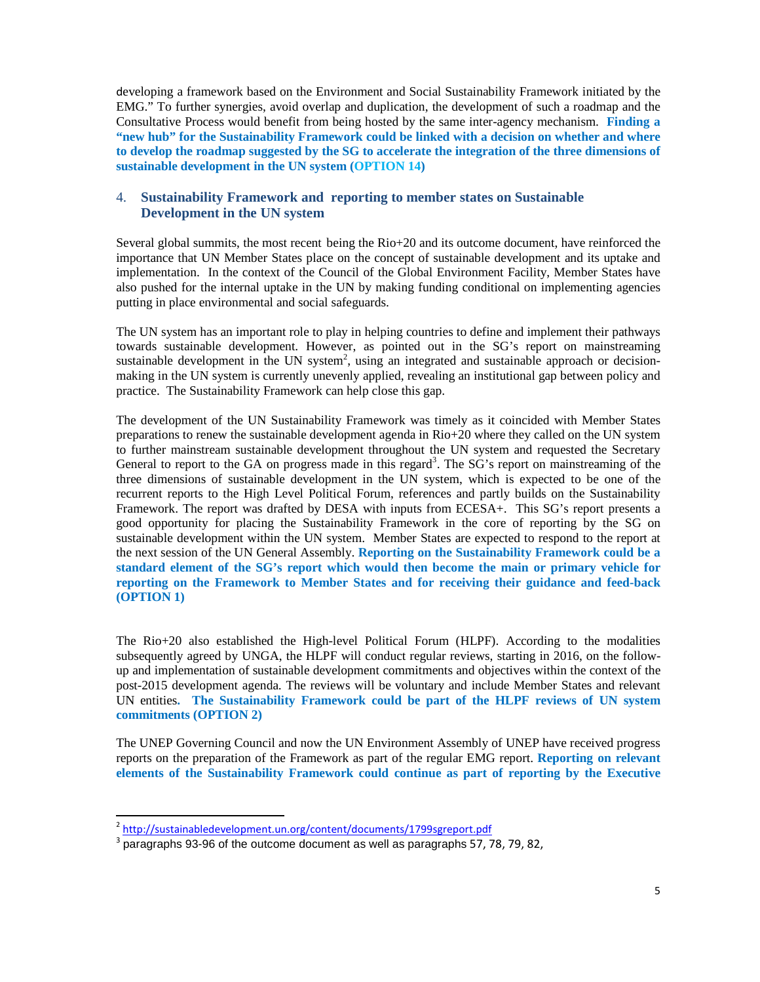developing a framework based on the Environment and Social Sustainability Framework initiated by the EMG." To further synergies, avoid overlap and duplication, the development of such a roadmap and the Consultative Process would benefit from being hosted by the same inter-agency mechanism. **Finding a "new hub" for the Sustainability Framework could be linked with a decision on whether and where to develop the roadmap suggested by the SG to accelerate the integration of the three dimensions of sustainable development in the UN system (OPTION 14)**

#### 4. **Sustainability Framework and reporting to member states on Sustainable Development in the UN system**

Several global summits, the most recent being the Rio+20 and its outcome document, have reinforced the importance that UN Member States place on the concept of sustainable development and its uptake and implementation. In the context of the Council of the Global Environment Facility, Member States have also pushed for the internal uptake in the UN by making funding conditional on implementing agencies putting in place environmental and social safeguards.

The UN system has an important role to play in helping countries to define and implement their pathways towards sustainable development. However, as pointed out in the SG's report on mainstreaming sustainable development in the UN system<sup>2</sup>, using an integrated and sustainable approach or decisionmaking in the UN system is currently unevenly applied, revealing an institutional gap between policy and practice. The Sustainability Framework can help close this gap.

The development of the UN Sustainability Framework was timely as it coincided with Member States preparations to renew the sustainable development agenda in Rio+20 where they called on the UN system to further mainstream sustainable development throughout the UN system and requested the Secretary General to report to the GA on progress made in this regard<sup>3</sup>. The SG's report on mainstreaming of the three dimensions of sustainable development in the UN system, which is expected to be one of the recurrent reports to the High Level Political Forum, references and partly builds on the Sustainability Framework. The report was drafted by DESA with inputs from ECESA+. This SG's report presents a good opportunity for placing the Sustainability Framework in the core of reporting by the SG on sustainable development within the UN system. Member States are expected to respond to the report at the next session of the UN General Assembly. **Reporting on the Sustainability Framework could be a standard element of the SG's report which would then become the main or primary vehicle for reporting on the Framework to Member States and for receiving their guidance and feed-back (OPTION 1)** 

The Rio+20 also established the High-level Political Forum (HLPF). According to the modalities subsequently agreed by UNGA, the HLPF will conduct regular reviews, starting in 2016, on the followup and implementation of sustainable development commitments and objectives within the context of the post-2015 development agenda. The reviews will be voluntary and include Member States and relevant UN entities**. The Sustainability Framework could be part of the HLPF reviews of UN system commitments (OPTION 2)** 

The UNEP Governing Council and now the UN Environment Assembly of UNEP have received progress reports on the preparation of the Framework as part of the regular EMG report. **Reporting on relevant elements of the Sustainability Framework could continue as part of reporting by the Executive** 

-

<sup>&</sup>lt;sup>2</sup> http://sustainabledevelopment.un.org/content/documents/1799sgreport.pdf

<sup>&</sup>lt;sup>3</sup> paragraphs 93-96 of the outcome document as well as paragraphs 57, 78, 79, 82,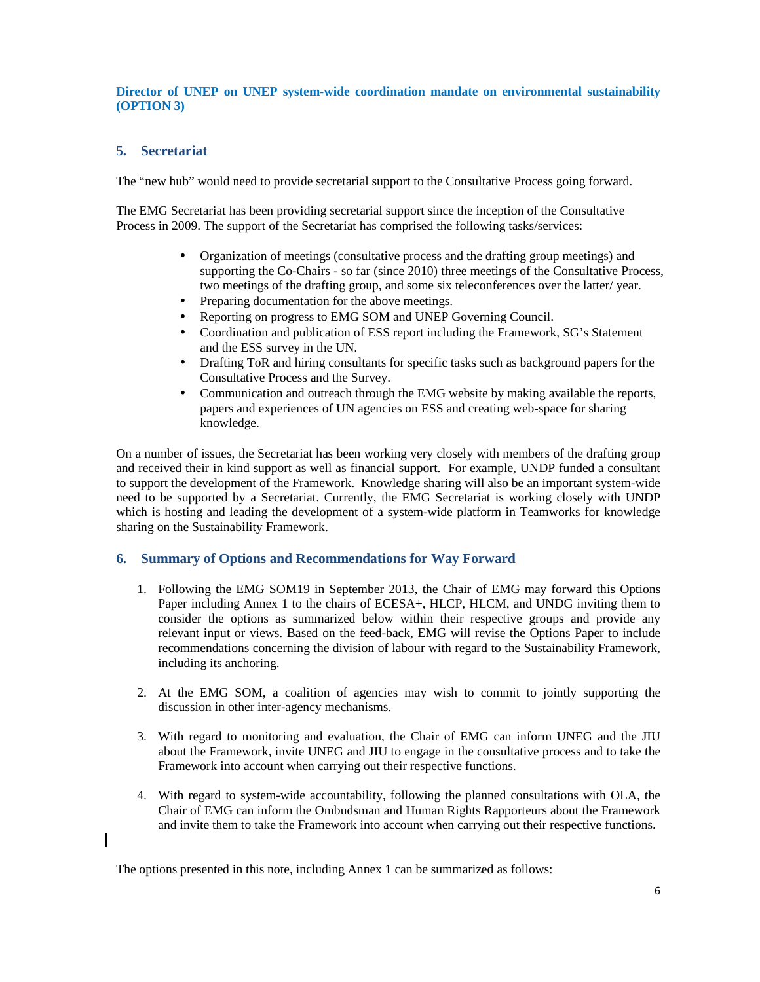#### **Director of UNEP on UNEP system-wide coordination mandate on environmental sustainability (OPTION 3)**

### **5. Secretariat**

The "new hub" would need to provide secretarial support to the Consultative Process going forward.

The EMG Secretariat has been providing secretarial support since the inception of the Consultative Process in 2009. The support of the Secretariat has comprised the following tasks/services:

- Organization of meetings (consultative process and the drafting group meetings) and supporting the Co-Chairs - so far (since 2010) three meetings of the Consultative Process, two meetings of the drafting group, and some six teleconferences over the latter/ year.
- Preparing documentation for the above meetings.
- Reporting on progress to EMG SOM and UNEP Governing Council.
- Coordination and publication of ESS report including the Framework, SG's Statement and the ESS survey in the UN.
- Drafting ToR and hiring consultants for specific tasks such as background papers for the Consultative Process and the Survey.
- Communication and outreach through the EMG website by making available the reports, papers and experiences of UN agencies on ESS and creating web-space for sharing knowledge.

On a number of issues, the Secretariat has been working very closely with members of the drafting group and received their in kind support as well as financial support. For example, UNDP funded a consultant to support the development of the Framework. Knowledge sharing will also be an important system-wide need to be supported by a Secretariat. Currently, the EMG Secretariat is working closely with UNDP which is hosting and leading the development of a system-wide platform in Teamworks for knowledge sharing on the Sustainability Framework.

#### **6. Summary of Options and Recommendations for Way Forward**

- 1. Following the EMG SOM19 in September 2013, the Chair of EMG may forward this Options Paper including Annex 1 to the chairs of ECESA+, HLCP, HLCM, and UNDG inviting them to consider the options as summarized below within their respective groups and provide any relevant input or views. Based on the feed-back, EMG will revise the Options Paper to include recommendations concerning the division of labour with regard to the Sustainability Framework, including its anchoring.
- 2. At the EMG SOM, a coalition of agencies may wish to commit to jointly supporting the discussion in other inter-agency mechanisms.
- 3. With regard to monitoring and evaluation, the Chair of EMG can inform UNEG and the JIU about the Framework, invite UNEG and JIU to engage in the consultative process and to take the Framework into account when carrying out their respective functions.
- 4. With regard to system-wide accountability, following the planned consultations with OLA, the Chair of EMG can inform the Ombudsman and Human Rights Rapporteurs about the Framework and invite them to take the Framework into account when carrying out their respective functions.

The options presented in this note, including Annex 1 can be summarized as follows: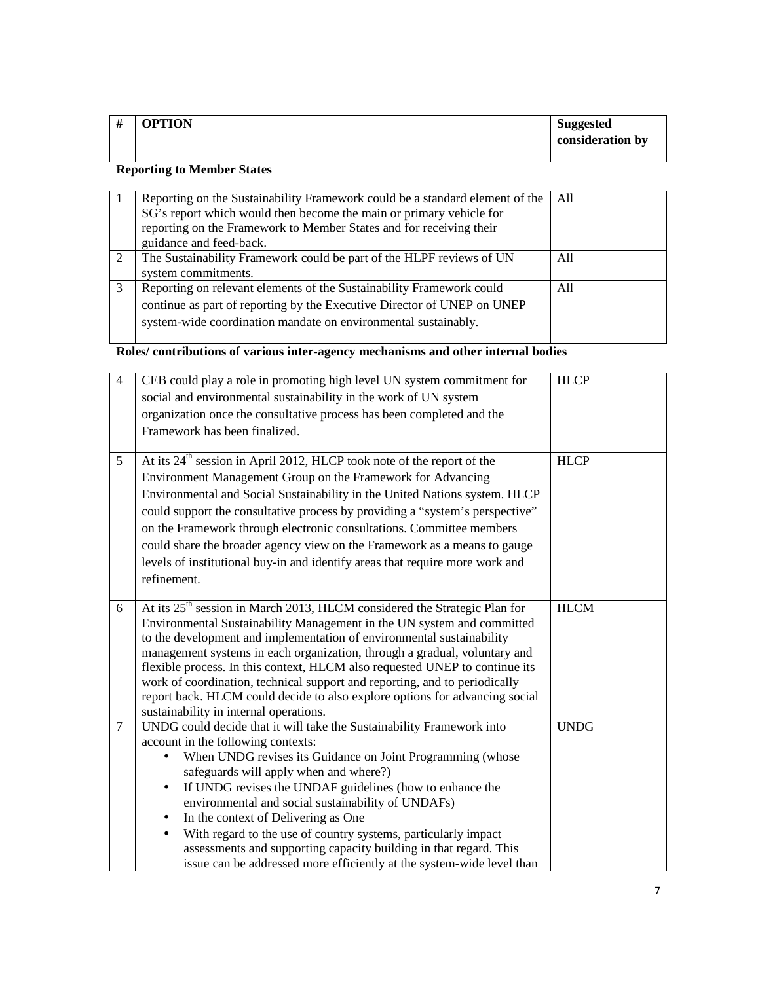| # | <b>OPTION</b> | <b>Suggested</b> |
|---|---------------|------------------|
|   |               | consideration by |
|   |               |                  |

## **Reporting to Member States**

|    | Reporting on the Sustainability Framework could be a standard element of the | All |
|----|------------------------------------------------------------------------------|-----|
|    | SG's report which would then become the main or primary vehicle for          |     |
|    | reporting on the Framework to Member States and for receiving their          |     |
|    | guidance and feed-back.                                                      |     |
| 2  | The Sustainability Framework could be part of the HLPF reviews of UN         | All |
|    | system commitments.                                                          |     |
| -3 | Reporting on relevant elements of the Sustainability Framework could         | A11 |
|    | continue as part of reporting by the Executive Director of UNEP on UNEP      |     |
|    | system-wide coordination mandate on environmental sustainably.               |     |
|    |                                                                              |     |

## **Roles/ contributions of various inter-agency mechanisms and other internal bodies**

| $\overline{4}$ | CEB could play a role in promoting high level UN system commitment for<br>social and environmental sustainability in the work of UN system | <b>HLCP</b> |
|----------------|--------------------------------------------------------------------------------------------------------------------------------------------|-------------|
|                |                                                                                                                                            |             |
|                | organization once the consultative process has been completed and the                                                                      |             |
|                | Framework has been finalized.                                                                                                              |             |
| 5              | At its 24 <sup>th</sup> session in April 2012, HLCP took note of the report of the                                                         | <b>HLCP</b> |
|                | Environment Management Group on the Framework for Advancing                                                                                |             |
|                | Environmental and Social Sustainability in the United Nations system. HLCP                                                                 |             |
|                | could support the consultative process by providing a "system's perspective"                                                               |             |
|                | on the Framework through electronic consultations. Committee members                                                                       |             |
|                | could share the broader agency view on the Framework as a means to gauge                                                                   |             |
|                | levels of institutional buy-in and identify areas that require more work and                                                               |             |
|                | refinement.                                                                                                                                |             |
|                |                                                                                                                                            |             |
| 6              | At its 25 <sup>th</sup> session in March 2013, HLCM considered the Strategic Plan for                                                      | <b>HLCM</b> |
|                | Environmental Sustainability Management in the UN system and committed                                                                     |             |
|                | to the development and implementation of environmental sustainability                                                                      |             |
|                | management systems in each organization, through a gradual, voluntary and                                                                  |             |
|                | flexible process. In this context, HLCM also requested UNEP to continue its                                                                |             |
|                | work of coordination, technical support and reporting, and to periodically                                                                 |             |
|                | report back. HLCM could decide to also explore options for advancing social                                                                |             |
| $\tau$         | sustainability in internal operations.<br>UNDG could decide that it will take the Sustainability Framework into                            | <b>UNDG</b> |
|                | account in the following contexts:                                                                                                         |             |
|                | When UNDG revises its Guidance on Joint Programming (whose                                                                                 |             |
|                | safeguards will apply when and where?)                                                                                                     |             |
|                | If UNDG revises the UNDAF guidelines (how to enhance the<br>$\bullet$                                                                      |             |
|                | environmental and social sustainability of UNDAFs)                                                                                         |             |
|                | In the context of Delivering as One<br>٠                                                                                                   |             |
|                | With regard to the use of country systems, particularly impact<br>$\bullet$                                                                |             |
|                | assessments and supporting capacity building in that regard. This                                                                          |             |
|                | issue can be addressed more efficiently at the system-wide level than                                                                      |             |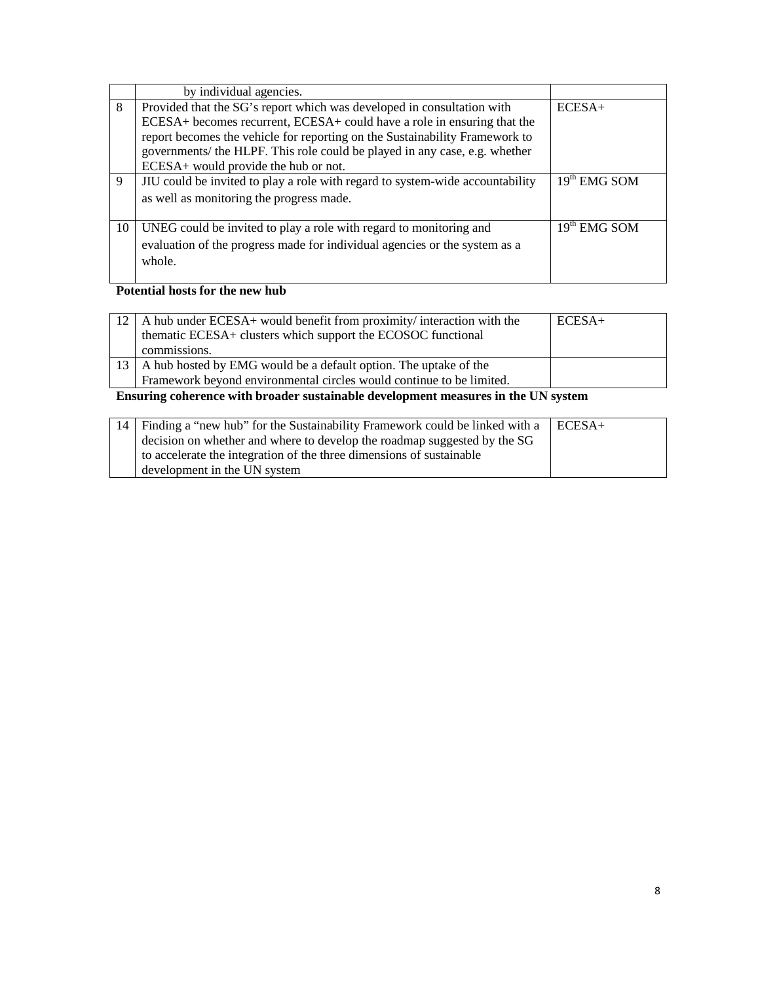|    | by individual agencies.                                                                                                                                                                                                                                                                                                                                |                |
|----|--------------------------------------------------------------------------------------------------------------------------------------------------------------------------------------------------------------------------------------------------------------------------------------------------------------------------------------------------------|----------------|
| 8  | Provided that the SG's report which was developed in consultation with<br>ECESA+ becomes recurrent, ECESA+ could have a role in ensuring that the<br>report becomes the vehicle for reporting on the Sustainability Framework to<br>governments/ the HLPF. This role could be played in any case, e.g. whether<br>ECESA+ would provide the hub or not. | $ECESA+$       |
| 9  | JIU could be invited to play a role with regard to system-wide accountability<br>as well as monitoring the progress made.                                                                                                                                                                                                                              | $19th$ EMG SOM |
| 10 | UNEG could be invited to play a role with regard to monitoring and<br>evaluation of the progress made for individual agencies or the system as a<br>whole.                                                                                                                                                                                             | $19th$ EMG SOM |

## **Potential hosts for the new hub**

| $12$   A hub under ECESA+ would benefit from proximity/ interaction with the<br>thematic ECESA+ clusters which support the ECOSOC functional | $ECESA+$ |
|----------------------------------------------------------------------------------------------------------------------------------------------|----------|
| commissions.                                                                                                                                 |          |
| 13   A hub hosted by EMG would be a default option. The uptake of the                                                                        |          |
| Framework beyond environmental circles would continue to be limited.                                                                         |          |
| Francisco colonezoo rutto buogdon aratoinoble develenzeent mecanines in the UN aratom                                                        |          |

**Ensuring coherence with broader sustainable development measures in the UN system** 

| 14   Finding a "new hub" for the Sustainability Framework could be linked with a | $\vert$ ECESA+ |
|----------------------------------------------------------------------------------|----------------|
| decision on whether and where to develop the roadmap suggested by the SG         |                |
| to accelerate the integration of the three dimensions of sustainable             |                |
| development in the UN system                                                     |                |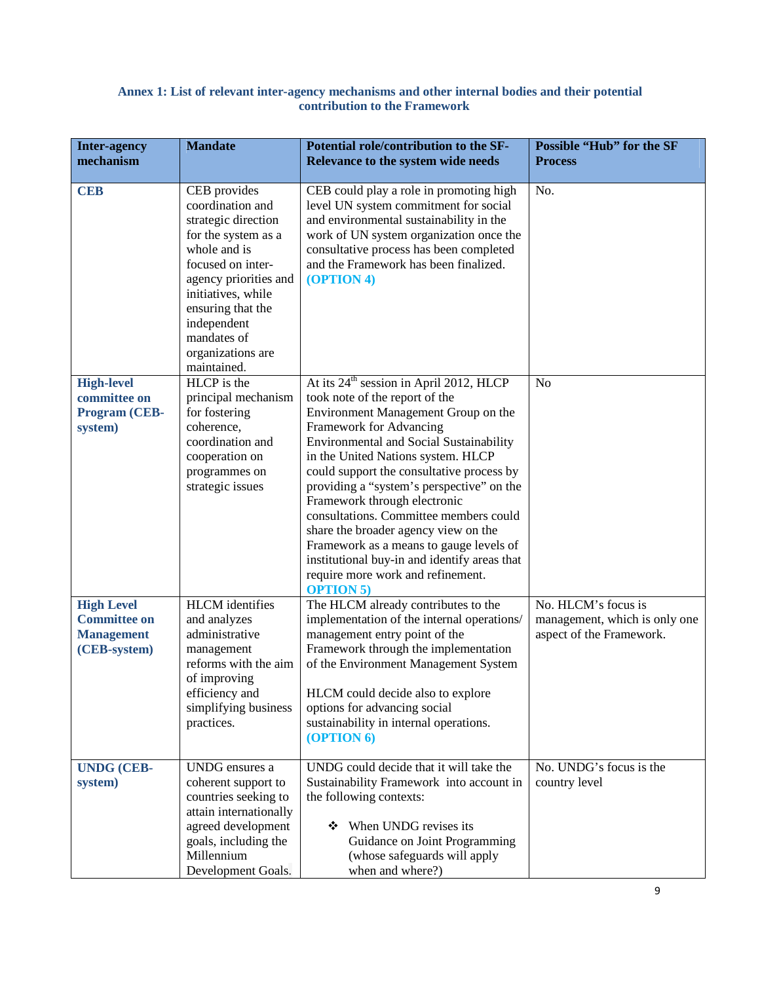#### **Annex 1: List of relevant inter-agency mechanisms and other internal bodies and their potential contribution to the Framework**

| <b>Inter-agency</b><br>mechanism                                              | <b>Mandate</b>                                                                                                                                                                                                                                            | Potential role/contribution to the SF-<br>Relevance to the system wide needs                                                                                                                                                                                                                                                                                                                                                                                                                                                                                                                                    | <b>Possible "Hub" for the SF</b><br><b>Process</b>                               |
|-------------------------------------------------------------------------------|-----------------------------------------------------------------------------------------------------------------------------------------------------------------------------------------------------------------------------------------------------------|-----------------------------------------------------------------------------------------------------------------------------------------------------------------------------------------------------------------------------------------------------------------------------------------------------------------------------------------------------------------------------------------------------------------------------------------------------------------------------------------------------------------------------------------------------------------------------------------------------------------|----------------------------------------------------------------------------------|
| <b>CEB</b>                                                                    | CEB provides<br>coordination and<br>strategic direction<br>for the system as a<br>whole and is<br>focused on inter-<br>agency priorities and<br>initiatives, while<br>ensuring that the<br>independent<br>mandates of<br>organizations are<br>maintained. | CEB could play a role in promoting high<br>level UN system commitment for social<br>and environmental sustainability in the<br>work of UN system organization once the<br>consultative process has been completed<br>and the Framework has been finalized.<br>(OPTION 4)                                                                                                                                                                                                                                                                                                                                        | No.                                                                              |
| <b>High-level</b><br>committee on<br>Program (CEB-<br>system)                 | HLCP is the<br>principal mechanism<br>for fostering<br>coherence,<br>coordination and<br>cooperation on<br>programmes on<br>strategic issues                                                                                                              | At its 24 <sup>th</sup> session in April 2012, HLCP<br>took note of the report of the<br>Environment Management Group on the<br>Framework for Advancing<br><b>Environmental and Social Sustainability</b><br>in the United Nations system. HLCP<br>could support the consultative process by<br>providing a "system's perspective" on the<br>Framework through electronic<br>consultations. Committee members could<br>share the broader agency view on the<br>Framework as a means to gauge levels of<br>institutional buy-in and identify areas that<br>require more work and refinement.<br><b>OPTION 5)</b> | N <sub>o</sub>                                                                   |
| <b>High Level</b><br><b>Committee on</b><br><b>Management</b><br>(CEB-system) | <b>HLCM</b> identifies<br>and analyzes<br>administrative<br>management<br>reforms with the aim<br>of improving<br>efficiency and<br>simplifying business<br>practices.                                                                                    | The HLCM already contributes to the<br>implementation of the internal operations/<br>management entry point of the<br>Framework through the implementation<br>of the Environment Management System<br>HLCM could decide also to explore<br>options for advancing social<br>sustainability in internal operations.<br>(OPTION 6)                                                                                                                                                                                                                                                                                 | No. HLCM's focus is<br>management, which is only one<br>aspect of the Framework. |
| <b>UNDG (CEB-</b><br>system)                                                  | UNDG ensures a<br>coherent support to<br>countries seeking to<br>attain internationally<br>agreed development<br>goals, including the<br>Millennium<br>Development Goals.                                                                                 | UNDG could decide that it will take the<br>Sustainability Framework into account in<br>the following contexts:<br>When UNDG revises its<br>❖<br>Guidance on Joint Programming<br>(whose safeguards will apply<br>when and where?)                                                                                                                                                                                                                                                                                                                                                                               | No. UNDG's focus is the<br>country level                                         |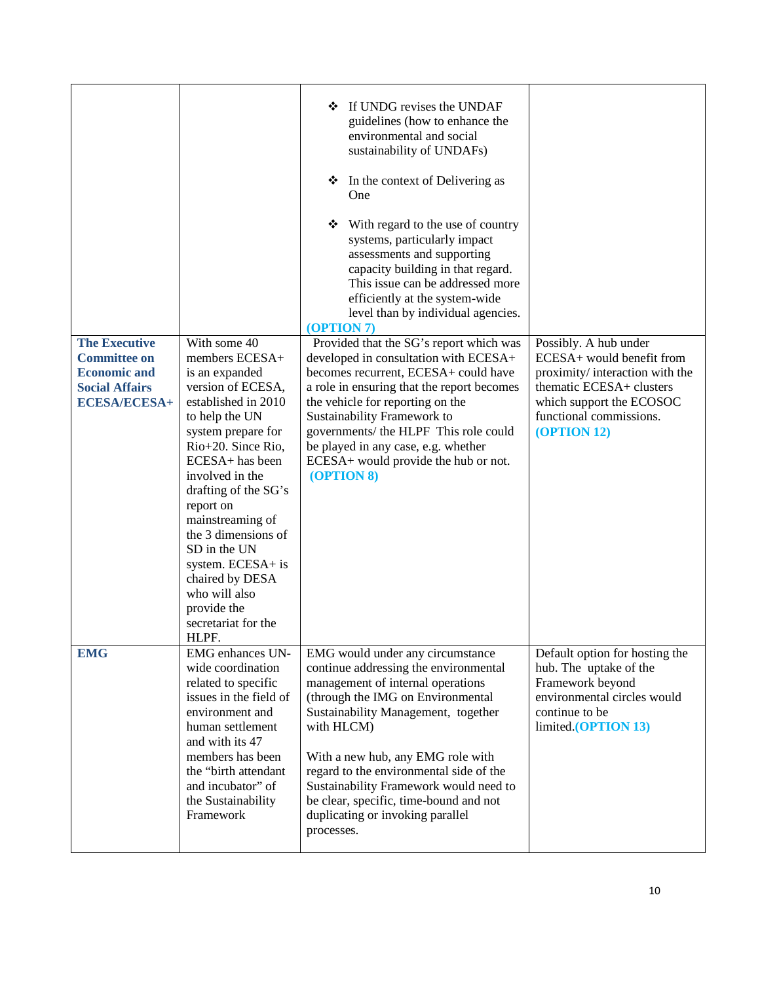|                                                                                                                    |                                                                                                                                                                                                                                                                                                                                                                                                          | If UNDG revises the UNDAF<br>❖<br>guidelines (how to enhance the<br>environmental and social<br>sustainability of UNDAFs)<br>❖<br>In the context of Delivering as<br>One<br>With regard to the use of country<br>❖<br>systems, particularly impact<br>assessments and supporting<br>capacity building in that regard.<br>This issue can be addressed more<br>efficiently at the system-wide<br>level than by individual agencies.<br>(OPTION 7) |                                                                                                                                                                                        |
|--------------------------------------------------------------------------------------------------------------------|----------------------------------------------------------------------------------------------------------------------------------------------------------------------------------------------------------------------------------------------------------------------------------------------------------------------------------------------------------------------------------------------------------|-------------------------------------------------------------------------------------------------------------------------------------------------------------------------------------------------------------------------------------------------------------------------------------------------------------------------------------------------------------------------------------------------------------------------------------------------|----------------------------------------------------------------------------------------------------------------------------------------------------------------------------------------|
| <b>The Executive</b><br><b>Committee on</b><br><b>Economic and</b><br><b>Social Affairs</b><br><b>ECESA/ECESA+</b> | With some 40<br>members ECESA+<br>is an expanded<br>version of ECESA,<br>established in 2010<br>to help the UN<br>system prepare for<br>Rio+20. Since Rio,<br>ECESA+ has been<br>involved in the<br>drafting of the SG's<br>report on<br>mainstreaming of<br>the 3 dimensions of<br>SD in the UN<br>system. ECESA+ is<br>chaired by DESA<br>who will also<br>provide the<br>secretariat for the<br>HLPF. | Provided that the SG's report which was<br>developed in consultation with ECESA+<br>becomes recurrent, ECESA+ could have<br>a role in ensuring that the report becomes<br>the vehicle for reporting on the<br>Sustainability Framework to<br>governments/ the HLPF This role could<br>be played in any case, e.g. whether<br>ECESA+ would provide the hub or not.<br>(OPTION 8)                                                                 | Possibly. A hub under<br>ECESA+ would benefit from<br>proximity/interaction with the<br>thematic ECESA+ clusters<br>which support the ECOSOC<br>functional commissions.<br>(OPTION 12) |
| <b>EMG</b>                                                                                                         | <b>EMG</b> enhances UN-<br>wide coordination<br>related to specific<br>issues in the field of<br>environment and<br>human settlement<br>and with its 47<br>members has been<br>the "birth attendant<br>and incubator" of<br>the Sustainability<br>Framework                                                                                                                                              | EMG would under any circumstance<br>continue addressing the environmental<br>management of internal operations<br>(through the IMG on Environmental<br>Sustainability Management, together<br>with HLCM)<br>With a new hub, any EMG role with<br>regard to the environmental side of the<br>Sustainability Framework would need to<br>be clear, specific, time-bound and not<br>duplicating or invoking parallel<br>processes.                  | Default option for hosting the<br>hub. The uptake of the<br>Framework beyond<br>environmental circles would<br>continue to be<br>limited.(OPTION 13)                                   |